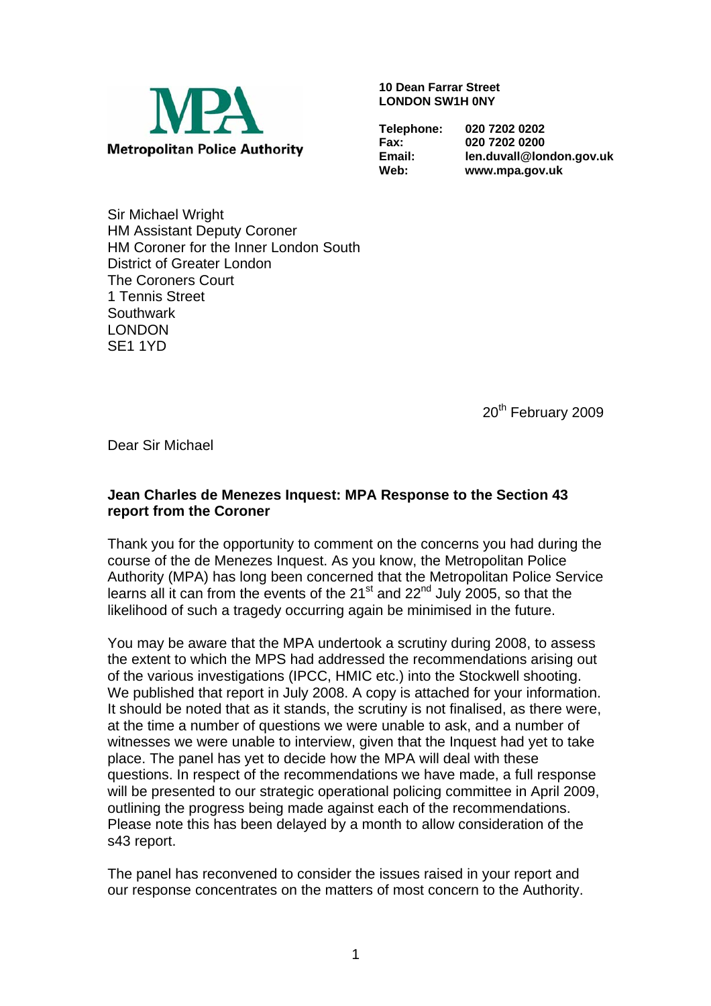

**10 Dean Farrar Street LONDON SW1H 0NY** 

**Telephone: 020 7202 0202** 

**Fax: 020 7202 0200 Email: len.duvall@london.gov.uk Web: www.mpa.gov.uk** 

Sir Michael Wright HM Assistant Deputy Coroner HM Coroner for the Inner London South District of Greater London The Coroners Court 1 Tennis Street **Southwark** LONDON SE1 1YD

20<sup>th</sup> February 2009

Dear Sir Michael

## **Jean Charles de Menezes Inquest: MPA Response to the Section 43 report from the Coroner**

Thank you for the opportunity to comment on the concerns you had during the course of the de Menezes Inquest. As you know, the Metropolitan Police Authority (MPA) has long been concerned that the Metropolitan Police Service learns all it can from the events of the  $21<sup>st</sup>$  and  $22<sup>nd</sup>$  July 2005, so that the likelihood of such a tragedy occurring again be minimised in the future.

You may be aware that the MPA undertook a scrutiny during 2008, to assess the extent to which the MPS had addressed the recommendations arising out of the various investigations (IPCC, HMIC etc.) into the Stockwell shooting. We published that report in July 2008. A copy is attached for your information. It should be noted that as it stands, the scrutiny is not finalised, as there were, at the time a number of questions we were unable to ask, and a number of witnesses we were unable to interview, given that the Inquest had yet to take place. The panel has yet to decide how the MPA will deal with these questions. In respect of the recommendations we have made, a full response will be presented to our strategic operational policing committee in April 2009, outlining the progress being made against each of the recommendations. Please note this has been delayed by a month to allow consideration of the s43 report.

The panel has reconvened to consider the issues raised in your report and our response concentrates on the matters of most concern to the Authority.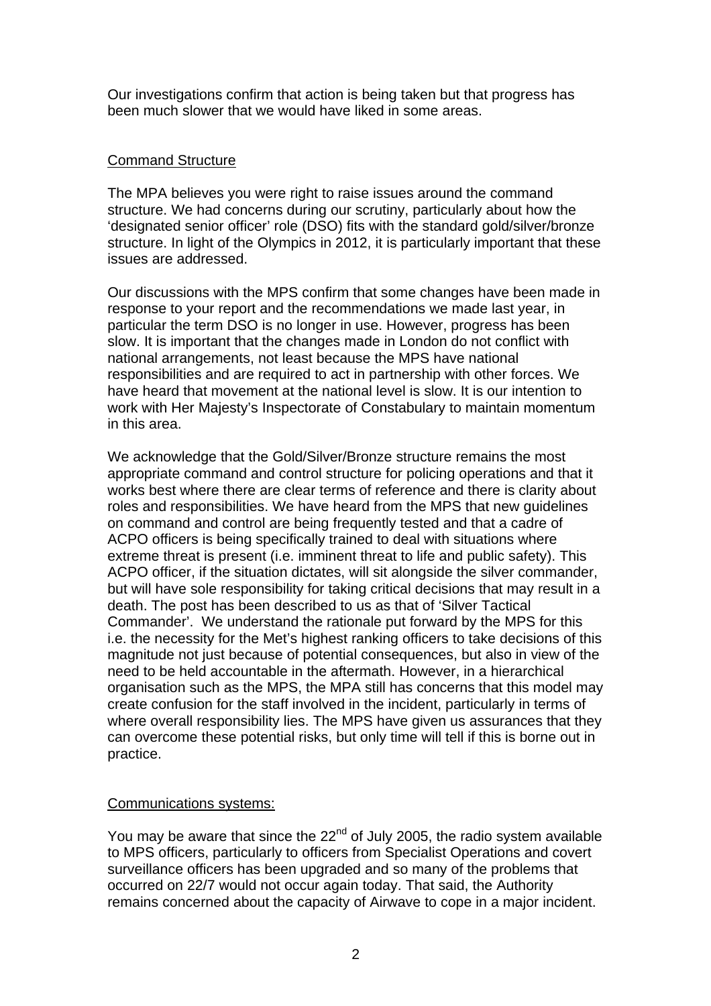Our investigations confirm that action is being taken but that progress has been much slower that we would have liked in some areas.

# Command Structure

The MPA believes you were right to raise issues around the command structure. We had concerns during our scrutiny, particularly about how the 'designated senior officer' role (DSO) fits with the standard gold/silver/bronze structure. In light of the Olympics in 2012, it is particularly important that these issues are addressed.

Our discussions with the MPS confirm that some changes have been made in response to your report and the recommendations we made last year, in particular the term DSO is no longer in use. However, progress has been slow. It is important that the changes made in London do not conflict with national arrangements, not least because the MPS have national responsibilities and are required to act in partnership with other forces. We have heard that movement at the national level is slow. It is our intention to work with Her Majesty's Inspectorate of Constabulary to maintain momentum in this area.

We acknowledge that the Gold/Silver/Bronze structure remains the most appropriate command and control structure for policing operations and that it works best where there are clear terms of reference and there is clarity about roles and responsibilities. We have heard from the MPS that new guidelines on command and control are being frequently tested and that a cadre of ACPO officers is being specifically trained to deal with situations where extreme threat is present (i.e. imminent threat to life and public safety). This ACPO officer, if the situation dictates, will sit alongside the silver commander, but will have sole responsibility for taking critical decisions that may result in a death. The post has been described to us as that of 'Silver Tactical Commander'. We understand the rationale put forward by the MPS for this i.e. the necessity for the Met's highest ranking officers to take decisions of this magnitude not just because of potential consequences, but also in view of the need to be held accountable in the aftermath. However, in a hierarchical organisation such as the MPS, the MPA still has concerns that this model may create confusion for the staff involved in the incident, particularly in terms of where overall responsibility lies. The MPS have given us assurances that they can overcome these potential risks, but only time will tell if this is borne out in practice.

### Communications systems:

You may be aware that since the  $22<sup>nd</sup>$  of July 2005, the radio system available to MPS officers, particularly to officers from Specialist Operations and covert surveillance officers has been upgraded and so many of the problems that occurred on 22/7 would not occur again today. That said, the Authority remains concerned about the capacity of Airwave to cope in a major incident.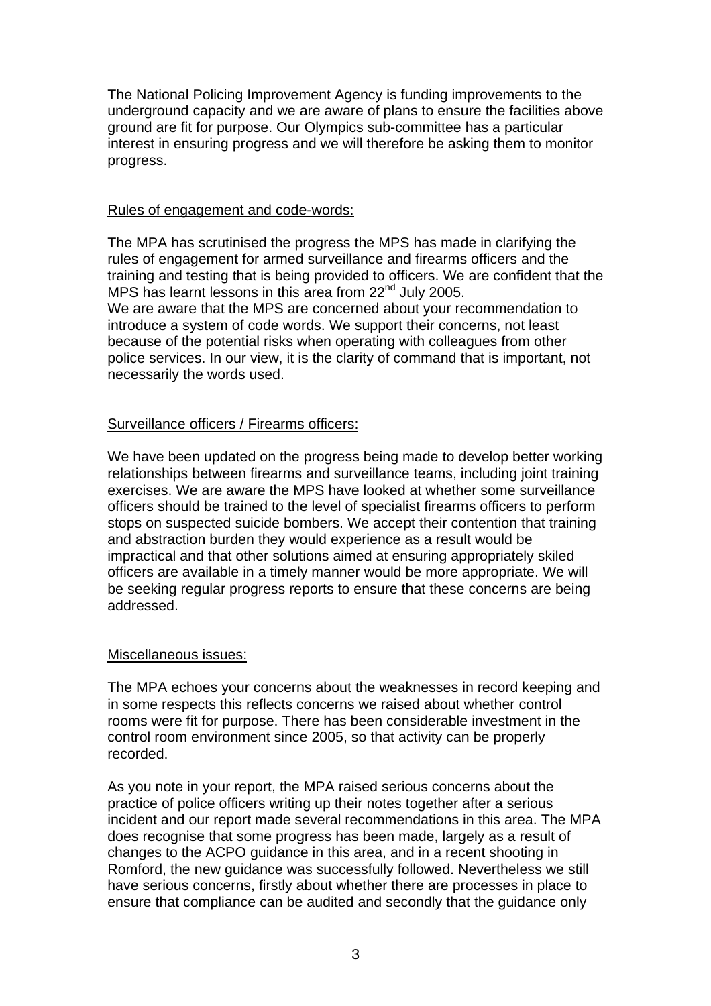The National Policing Improvement Agency is funding improvements to the underground capacity and we are aware of plans to ensure the facilities above ground are fit for purpose. Our Olympics sub-committee has a particular interest in ensuring progress and we will therefore be asking them to monitor progress.

#### Rules of engagement and code-words:

The MPA has scrutinised the progress the MPS has made in clarifying the rules of engagement for armed surveillance and firearms officers and the training and testing that is being provided to officers. We are confident that the MPS has learnt lessons in this area from 22<sup>nd</sup> July 2005. We are aware that the MPS are concerned about your recommendation to introduce a system of code words. We support their concerns, not least because of the potential risks when operating with colleagues from other police services. In our view, it is the clarity of command that is important, not

# Surveillance officers / Firearms officers:

necessarily the words used.

We have been updated on the progress being made to develop better working relationships between firearms and surveillance teams, including joint training exercises. We are aware the MPS have looked at whether some surveillance officers should be trained to the level of specialist firearms officers to perform stops on suspected suicide bombers. We accept their contention that training and abstraction burden they would experience as a result would be impractical and that other solutions aimed at ensuring appropriately skiled officers are available in a timely manner would be more appropriate. We will be seeking regular progress reports to ensure that these concerns are being addressed.

### Miscellaneous issues:

The MPA echoes your concerns about the weaknesses in record keeping and in some respects this reflects concerns we raised about whether control rooms were fit for purpose. There has been considerable investment in the control room environment since 2005, so that activity can be properly recorded.

As you note in your report, the MPA raised serious concerns about the practice of police officers writing up their notes together after a serious incident and our report made several recommendations in this area. The MPA does recognise that some progress has been made, largely as a result of changes to the ACPO guidance in this area, and in a recent shooting in Romford, the new guidance was successfully followed. Nevertheless we still have serious concerns, firstly about whether there are processes in place to ensure that compliance can be audited and secondly that the guidance only